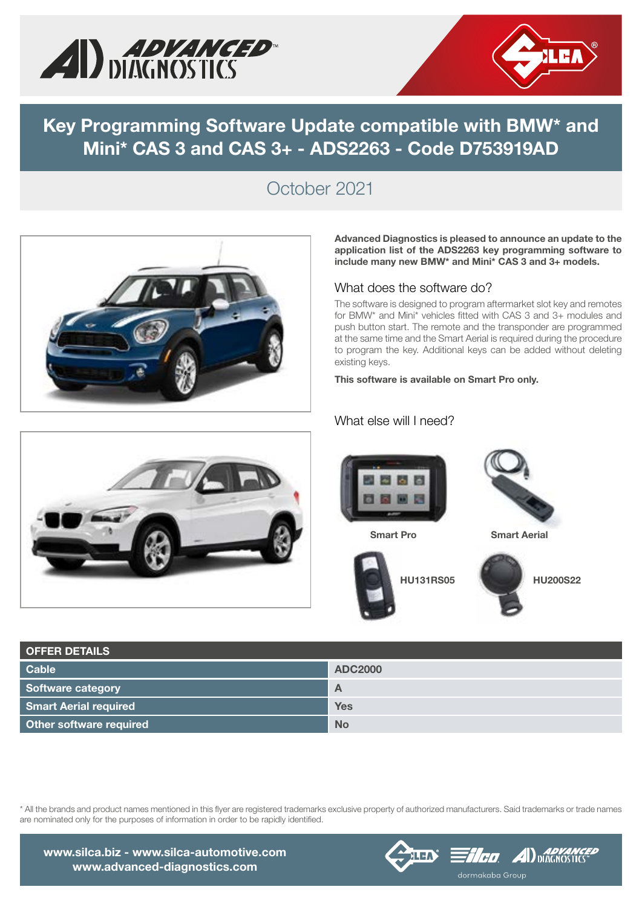



### Key Programming Software Update compatible with BMW\* and Mini\* CAS 3 and CAS 3+ - ADS2263 - Code D753919AD

# October 2021



#### Advanced Diagnostics is pleased to announce an update to the application list of the ADS2263 key programming software to include many new BMW\* and Mini\* CAS 3 and 3+ models.

#### What does the software do?

The software is designed to program aftermarket slot key and remotes for BMW\* and Mini\* vehicles fitted with CAS 3 and 3+ modules and push button start. The remote and the transponder are programmed at the same time and the Smart Aerial is required during the procedure to program the key. Additional keys can be added without deleting existing keys.

This software is available on Smart Pro only.

#### What else will I need?







| <b>OFFER DETAILS</b>         |                |
|------------------------------|----------------|
| <b>Cable</b>                 | <b>ADC2000</b> |
| Software category            | A              |
| <b>Smart Aerial required</b> | <b>Yes</b>     |
| Other software required      | <b>No</b>      |





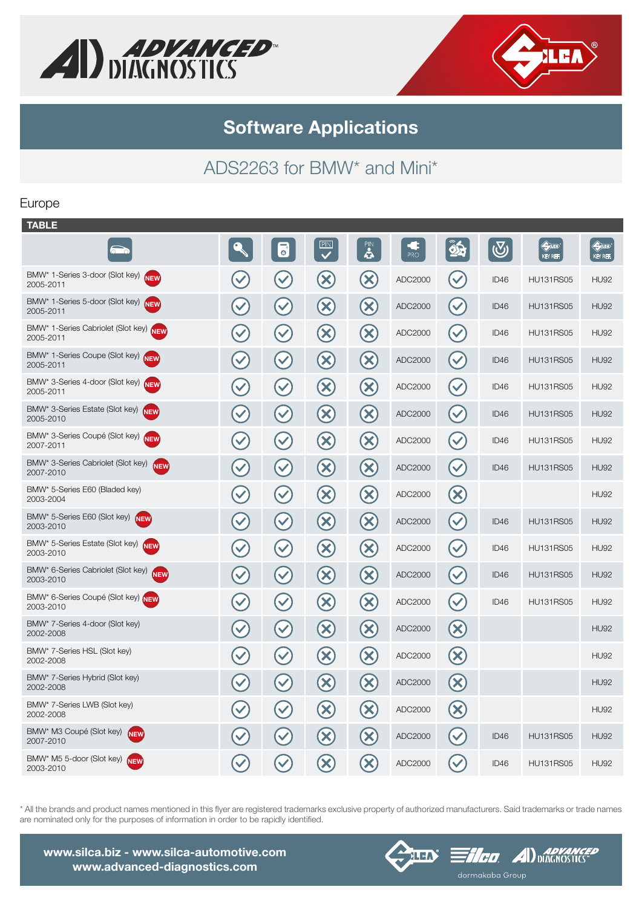



Software Applications

# ADS2263 for BMW\* and Mini\*

#### Europe

| <b>TABLE</b>                                                  |                      |                      |                            |                            |           |                           |                  |                                  |                                                    |
|---------------------------------------------------------------|----------------------|----------------------|----------------------------|----------------------------|-----------|---------------------------|------------------|----------------------------------|----------------------------------------------------|
| $\overline{\circ}$                                            |                      | $\overline{\bullet}$ | PIN<br>$\checkmark$        | <b>PIN</b>                 | 15<br>PRO | 8                         | $\bigcirc$       | $\Leftrightarrow$ in<br>KEY REF. | $\bigoplus\limits_{i=1}^n\mathbb{Z}^n$<br>KEY REF. |
| BMW* 1-Series 3-door (Slot key)<br>NEW<br>2005-2011           | $\checkmark$         | $\blacktriangledown$ | $\infty$                   | $\infty$                   | ADC2000   | $\blacktriangledown$      | ID <sub>46</sub> | <b>HU131RS05</b>                 | <b>HU92</b>                                        |
| BMW* 1-Series 5-door (Slot key) NEW<br>2005-2011              | $\checkmark$         | $\checkmark$         | $\left( \mathsf{X}\right)$ | $\left( \mathbf{X}\right)$ | ADC2000   | $\checkmark$              | ID46             | <b>HU131RS05</b>                 | <b>HU92</b>                                        |
| BMW* 1-Series Cabriolet (Slot key) NEW<br>2005-2011           | $\blacktriangledown$ | $\blacktriangledown$ | $\infty$                   | $\infty$                   | ADC2000   | $\blacktriangledown$      | ID46             | <b>HU131RS05</b>                 | <b>HU92</b>                                        |
| BMW* 1-Series Coupe (Slot key) NEW<br>2005-2011               | $\checkmark$         | $\checkmark$         | $\infty$                   | $\infty$                   | ADC2000   | $\checkmark$              | ID <sub>46</sub> | <b>HU131RS05</b>                 | <b>HU92</b>                                        |
| BMW* 3-Series 4-door (Slot key) NEW<br>2005-2011              | $\checkmark$         | $\checkmark$         | $(\mathsf{X})$             | $\mathbf{x}$               | ADC2000   | $\blacktriangledown$      | ID46             | <b>HU131RS05</b>                 | <b>HU92</b>                                        |
| BMW* 3-Series Estate (Slot key) NEW<br>2005-2010              | $\blacktriangledown$ | $\checkmark$         | $\infty$                   | $\infty$                   | ADC2000   | $\checkmark$              | ID46             | <b>HU131RS05</b>                 | <b>HU92</b>                                        |
| BMW* 3-Series Coupé (Slot key) NEW<br>2007-2011               | $\checkmark$         | $\blacktriangledown$ | $\infty$                   | $(\mathsf{X})$             | ADC2000   | $\blacktriangledown$      | ID46             | <b>HU131RS05</b>                 | <b>HU92</b>                                        |
| BMW* 3-Series Cabriolet (Slot key)<br><b>NEW</b><br>2007-2010 | $\blacktriangledown$ | $\blacktriangledown$ | $(\mathsf{x})$             | $\infty$                   | ADC2000   | $\checkmark$              | ID46             | <b>HU131RS05</b>                 | <b>HU92</b>                                        |
| BMW* 5-Series E60 (Bladed key)<br>2003-2004                   | $\blacktriangledown$ | $\blacktriangledown$ | $(\mathsf{X})$             | $\left( \mathbf{x}\right)$ | ADC2000   | $(\mathsf{X})$            |                  |                                  | <b>HU92</b>                                        |
| BMW* 5-Series E60 (Slot key) NEW<br>2003-2010                 | $\blacktriangledown$ | $\checkmark$         | $\left( \mathbf{X}\right)$ | $\infty$                   | ADC2000   | $\blacktriangledown$      | ID <sub>46</sub> | <b>HU131RS05</b>                 | <b>HU92</b>                                        |
| BMW* 5-Series Estate (Slot key)<br><b>NEW</b><br>2003-2010    | $\blacktriangledown$ | $\checkmark$         | $\left( \infty \right)$    | $\left( \mathsf{x}\right)$ | ADC2000   | $\checkmark$              | ID46             | <b>HU131RS05</b>                 | <b>HU92</b>                                        |
| BMW* 6-Series Cabriolet (Slot key)<br><b>NEW</b><br>2003-2010 | $\blacktriangledown$ | $\checkmark$         | $(\mathsf{x})$             | $\infty$                   | ADC2000   | $\blacktriangledown$      | ID <sub>46</sub> | <b>HU131RS05</b>                 | <b>HU92</b>                                        |
| BMW* 6-Series Coupé (Slot key) NEW<br>2003-2010               | $\checkmark$         | $\blacktriangledown$ | $(\mathsf{X})$             | $(\mathsf{x})$             | ADC2000   | $\checkmark$              | ID <sub>46</sub> | <b>HU131RS05</b>                 | <b>HU92</b>                                        |
| BMW* 7-Series 4-door (Slot key)<br>2002-2008                  | $\checkmark$         | $\blacktriangledown$ | $(\mathsf{X})$             | $\infty$                   | ADC2000   | $\boldsymbol{\mathsf{x}}$ |                  |                                  | <b>HU92</b>                                        |
| BMW* 7-Series HSL (Slot key)<br>2002-2008                     | $\checkmark$         | $\blacktriangledown$ | $\left( \infty \right)$    | $\infty$                   | ADC2000   | $(\mathsf{X})$            |                  |                                  | <b>HU92</b>                                        |
| BMW* 7-Series Hybrid (Slot key)<br>2002-2008                  | $\checkmark$         | $\checkmark$         | $(\mathsf{X})$             | $\left( \mathbf{X}\right)$ | ADC2000   | $(\mathsf{X})$            |                  |                                  | <b>HU92</b>                                        |
| BMW* 7-Series LWB (Slot key)<br>2002-2008                     | $\checkmark$         | $\checkmark$         | $\left( \mathbf{x}\right)$ | $(\mathsf{X})$             | ADC2000   | $(\mathsf{X})$            |                  |                                  | <b>HU92</b>                                        |
| BMW* M3 Coupé (Slot key)<br><b>NEW</b><br>2007-2010           | $\checkmark$         | $\blacktriangledown$ | $\infty$                   | $\infty$                   | ADC2000   | $\checkmark$              | ID46             | <b>HU131RS05</b>                 | <b>HU92</b>                                        |
| BMW* M5 5-door (Slot key) NEW<br>2003-2010                    |                      | $\blacktriangledown$ | $\mathbf{x}$               | $\propto$                  | ADC2000   | $\checkmark$              | ID <sub>46</sub> | <b>HU131RS05</b>                 | <b>HU92</b>                                        |
|                                                               |                      |                      |                            |                            |           |                           |                  |                                  |                                                    |





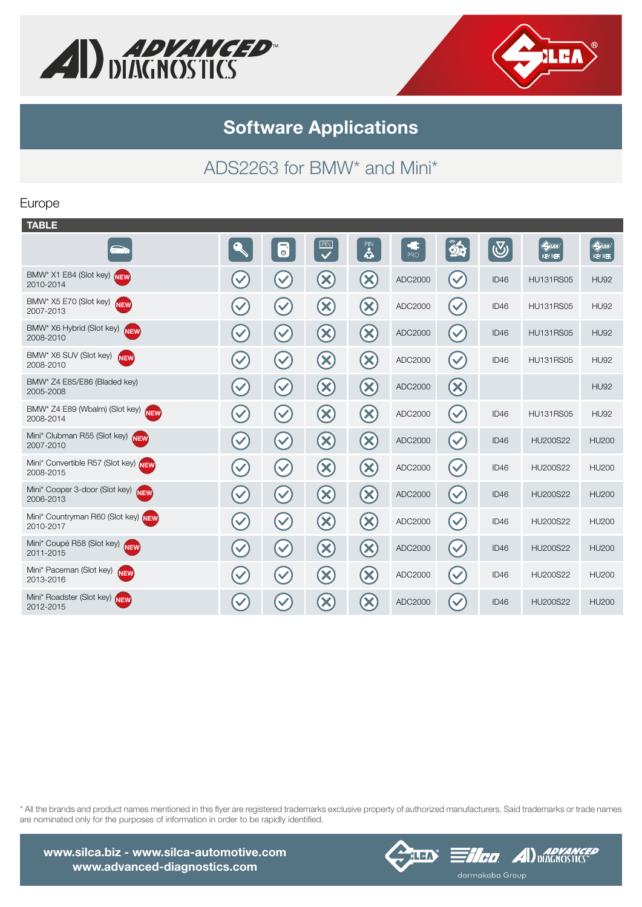



## Software Applications

# ADS2263 for BMW\* and Mini\*

#### Europe

| $\hat{\mathbf{2}}$<br><b>CONTRACTOR</b><br>$\overline{\mathbf{C}}$<br>$\mathbf{a}$<br>$\bigcirc$<br>$\overline{\bullet}$<br>Æ<br>$\sum$<br><b>PRO</b><br>KEY REF.                                                  | $\Leftrightarrow$<br>KEY REF. |
|--------------------------------------------------------------------------------------------------------------------------------------------------------------------------------------------------------------------|-------------------------------|
| BMW* X1 E84 (Slot key)<br><b>NEW</b><br>$(\mathsf{x})$<br>$\left( \mathbf{x}\right)$<br>$\checkmark$<br>$\checkmark$<br>$\blacktriangledown$<br>ADC2000<br>ID46<br><b>HU131RS05</b><br>2010-2014                   | <b>HU92</b>                   |
| BMW* X5 E70 (Slot key)<br><b>NEW</b><br>$\left( \times \right)$<br>$(\mathsf{X})$<br>$\checkmark$<br>$\blacktriangledown$<br>$\blacktriangledown$<br>ADC2000<br>ID46<br><b>HU131RS05</b><br>2007-2013              | <b>HU92</b>                   |
| BMW* X6 Hybrid (Slot key)<br><b>NEW</b><br>$\infty$<br>$\boldsymbol{\mathsf{z}}$<br>$\checkmark$<br>$\blacktriangledown$<br>$\checkmark$<br>ADC2000<br>ID46<br><b>HU131RS05</b><br>2008-2010                       | <b>HU92</b>                   |
| BMW* X6 SUV (Slot key)<br><b>NEW</b><br>$\left( \mathbf{\infty}\right)$<br>$(\mathsf{x})$<br>$\mathbf{v}$<br>$(\checkmark)$<br>$\checkmark$<br>ADC2000<br>ID46<br><b>HU131RS05</b><br>2008-2010                    | HU92                          |
| BMW* Z4 E85/E86 (Bladed key)<br>$\left( \mathbf{X}\right)$<br>$(\!\times\!)$<br>$\boldsymbol{\chi}$<br>$\checkmark$<br>$\mathbf{v}$<br>ADC2000<br>2005-2008                                                        | <b>HU92</b>                   |
| BMW* Z4 E89 (Wbalm) (Slot key) NEW<br>$\left( \mathbf{x}\right)$<br>$\left( \mathsf{X}\right)$<br>$\blacktriangledown$<br>$\checkmark$<br>$\blacktriangledown$<br>ADC2000<br>ID46<br><b>HU131RS05</b><br>2008-2014 | <b>HU92</b>                   |
| Mini* Clubman R55 (Slot key) NEW<br>$\circledR$<br>$\left( \mathbf{\mathbf{\times}}\right)$<br>$\checkmark$<br>$\checkmark$<br>$\blacktriangledown$<br>ADC2000<br>ID46<br><b>HU200S22</b><br>2007-2010             | <b>HU200</b>                  |
| Mini* Convertible R57 (Slot key) NEW<br>$\left( \infty \right)$<br>$\left( \mathbf{X}\right)$<br>$\checkmark$<br>$\blacktriangledown$<br>$\blacktriangledown$<br>ADC2000<br>ID46<br>HU200S22<br>2008-2015          | <b>HU200</b>                  |
| Mini* Cooper 3-door (Slot key) NEW<br>$(\mathsf{x})$<br>$\left( \mathbf{x}\right)$<br>$\checkmark$<br>$\checkmark$<br>$\checkmark$<br>ADC2000<br>ID46<br><b>HU200S22</b><br>2006-2013                              | <b>HU200</b>                  |
| Mini* Countryman R60 (Slot key) NEW<br>$\left( \mathbf{X}\right)$<br>$\left( \mathbf{X}\right)$<br>$\checkmark$<br>$\blacktriangledown$<br>$\checkmark$<br>ADC2000<br>ID46<br>HU200S22<br>2010-2017                | <b>HU200</b>                  |
| Mini* Coupé R58 (Slot key) NEW<br>$\left( \mathsf{x}\right)$<br>$\left( \mathbf{X}\right)$<br>$\checkmark$<br>$\checkmark$<br>$\checkmark$<br>ADC2000<br>ID46<br>HU200S22<br>2011-2015                             | <b>HU200</b>                  |
| Mini* Paceman (Slot key)<br><b>NEW</b><br>$\left( \mathbf{x}\right)$<br>$\left( \mathbf{\mathbf{\times}}\right)$<br>$\checkmark$<br>$\checkmark$<br>$\checkmark$<br>ADC2000<br>ID46<br>HU200S22<br>2013-2016       | <b>HU200</b>                  |
| Mini* Roadster (Slot key) NEW<br>$\infty$<br>$\bm{\times}$<br>$\blacktriangledown$<br>ADC2000<br>ID46<br><b>HU200S22</b><br>2012-2015                                                                              | <b>HU200</b>                  |